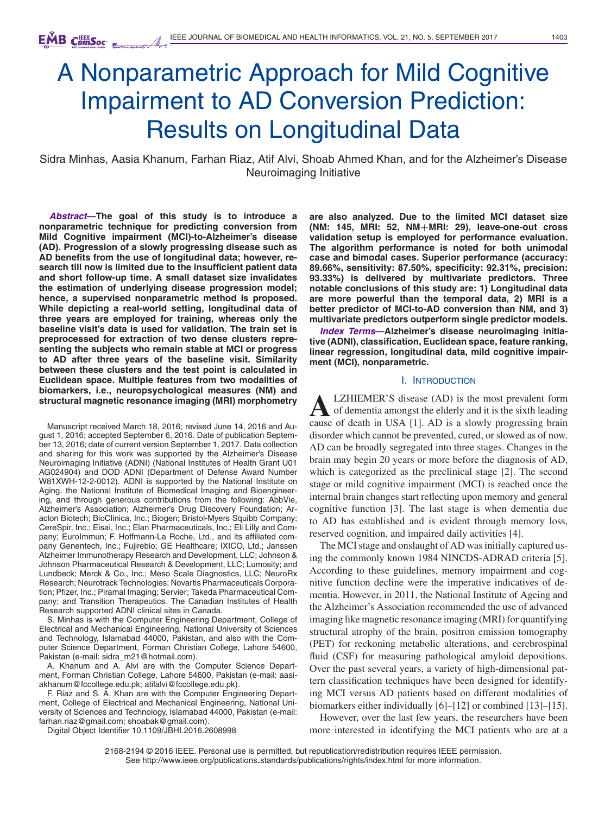# A Nonparametric Approach for Mild Cognitive Impairment to AD Conversion Prediction: Results on Longitudinal Data

Sidra Minhas, Aasia Khanum, Farhan Riaz, Atif Alvi, Shoab Ahmed Khan, and for the Alzheimer's Disease Neuroimaging Initiative

*Abstract***—The goal of this study is to introduce a nonparametric technique for predicting conversion from Mild Cognitive impairment (MCI)-to-Alzheimer's disease (AD). Progression of a slowly progressing disease such as AD benefits from the use of longitudinal data; however, research till now is limited due to the insufficient patient data and short follow-up time. A small dataset size invalidates the estimation of underlying disease progression model; hence, a supervised nonparametric method is proposed. While depicting a real-world setting, longitudinal data of three years are employed for training, whereas only the baseline visit's data is used for validation. The train set is preprocessed for extraction of two dense clusters representing the subjects who remain stable at MCI or progress to AD after three years of the baseline visit. Similarity between these clusters and the test point is calculated in Euclidean space. Multiple features from two modalities of biomarkers, i.e., neuropsychological measures (NM) and structural magnetic resonance imaging (MRI) morphometry**

Manuscript received March 18, 2016; revised June 14, 2016 and August 1, 2016; accepted September 6, 2016. Date of publication September 13, 2016; date of current version September 1, 2017. Data collection and sharing for this work was supported by the Alzheimer's Disease Neuroimaging Initiative (ADNI) (National Institutes of Health Grant U01 AG024904) and DOD ADNI (Department of Defense Award Number W81XWH-12-2-0012). ADNI is supported by the National Institute on Aging, the National Institute of Biomedical Imaging and Bioengineering, and through generous contributions from the following: AbbVie, Alzheimer's Association; Alzheimer's Drug Discovery Foundation; Araclon Biotech; BioClinica, Inc.; Biogen; Bristol-Myers Squibb Company; CereSpir, Inc.; Eisai, Inc.; Elan Pharmaceuticals, Inc.; Eli Lilly and Company; EuroImmun; F. Hoffmann-La Roche, Ltd., and its affiliated company Genentech, Inc.; Fujirebio; GE Healthcare; IXICO, Ltd.; Janssen Alzheimer Immunotherapy Research and Development, LLC; Johnson & Johnson Pharmaceutical Research & Development, LLC; Lumosity; and Lundbeck; Merck & Co., Inc.; Meso Scale Diagnostics, LLC; NeuroRx Research; Neurotrack Technologies; Novartis Pharmaceuticals Corporation; Pfizer, Inc.; Piramal Imaging; Servier; Takeda Pharmaceutical Company; and Transition Therapeutics. The Canadian Institutes of Health Research supported ADNI clinical sites in Canada.

S. Minhas is with the Computer Engineering Department, College of Electrical and Mechanical Engineering, National University of Sciences and Technology, Islamabad 44000, Pakistan, and also with the Computer Science Department, Forman Christian College, Lahore 54600, Pakistan (e-mail: sidra\_m21@hotmail.com).

A. Khanum and A. Alvi are with the Computer Science Department, Forman Christian College, Lahore 54600, Pakistan (e-mail: aasiakhanum@fccollege.edu.pk; atifalvi@fccollege.edu.pk).

F. Riaz and S. A. Khan are with the Computer Engineering Department, College of Electrical and Mechanical Engineering, National University of Sciences and Technology, Islamabad 44000, Pakistan (e-mail: farhan.riaz@gmail.com; shoabak@gmail.com).

Digital Object Identifier 10.1109/JBHI.2016.2608998

**are also analyzed. Due to the limited MCI dataset size (NM: 145, MRI: 52, NM+MRI: 29), leave-one-out cross validation setup is employed for performance evaluation. The algorithm performance is noted for both unimodal case and bimodal cases. Superior performance (accuracy: 89.66%, sensitivity: 87.50%, specificity: 92.31%, precision: 93.33%) is delivered by multivariate predictors. Three notable conclusions of this study are: 1) Longitudinal data are more powerful than the temporal data, 2) MRI is a better predictor of MCI-to-AD conversion than NM, and 3) multivariate predictors outperform single predictor models.**

*Index Terms***—Alzheimer's disease neuroimaging initiative (ADNI), classification, Euclidean space, feature ranking, linear regression, longitudinal data, mild cognitive impairment (MCI), nonparametric.**

## I. INTRODUCTION

**ALIZHIEMER'S disease (AD) is the most prevalent form**<br>of dementia amongst the elderly and it is the sixth leading<br>cause of death in USA [1], AD is a slowly progressing brain cause of death in USA [1]. AD is a slowly progressing brain disorder which cannot be prevented, cured, or slowed as of now. AD can be broadly segregated into three stages. Changes in the brain may begin 20 years or more before the diagnosis of AD, which is categorized as the preclinical stage [2]. The second stage or mild cognitive impairment (MCI) is reached once the internal brain changes start reflecting upon memory and general cognitive function [3]. The last stage is when dementia due to AD has established and is evident through memory loss, reserved cognition, and impaired daily activities [4].

The MCI stage and onslaught of AD was initially captured using the commonly known 1984 NINCDS-ADRAD criteria [5]. According to these guidelines, memory impairment and cognitive function decline were the imperative indicatives of dementia. However, in 2011, the National Institute of Ageing and the Alzheimer's Association recommended the use of advanced imaging like magnetic resonance imaging (MRI) for quantifying structural atrophy of the brain, positron emission tomography (PET) for reckoning metabolic alterations, and cerebrospinal fluid (CSF) for measuring pathological amyloid depositions. Over the past several years, a variety of high-dimensional pattern classification techniques have been designed for identifying MCI versus AD patients based on different modalities of biomarkers either individually [6]–[12] or combined [13]–[15].

However, over the last few years, the researchers have been more interested in identifying the MCI patients who are at a

2168-2194 © 2016 IEEE. Personal use is permitted, but republication/redistribution requires IEEE permission. See http://www.ieee.org/publications standards/publications/rights/index.html for more information.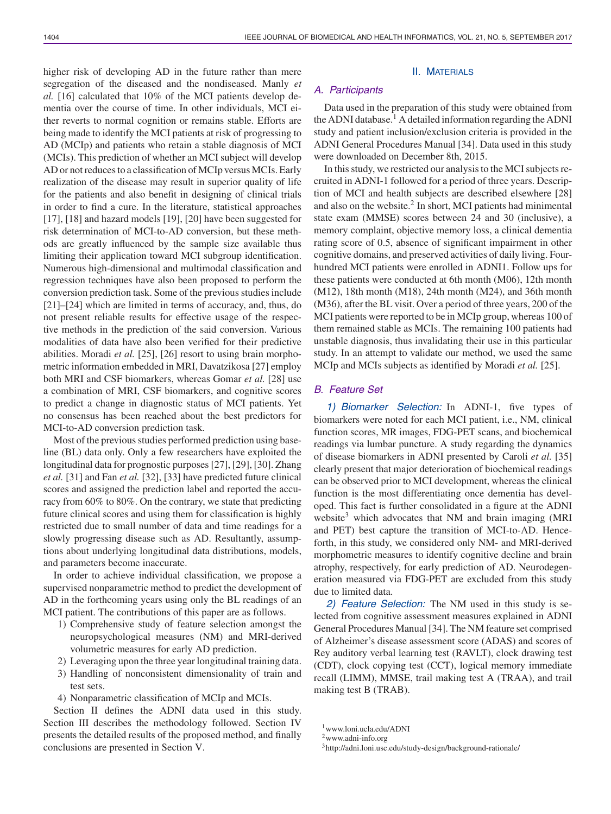higher risk of developing AD in the future rather than mere segregation of the diseased and the nondiseased. Manly *et al.* [16] calculated that 10% of the MCI patients develop dementia over the course of time. In other individuals, MCI either reverts to normal cognition or remains stable. Efforts are being made to identify the MCI patients at risk of progressing to AD (MCIp) and patients who retain a stable diagnosis of MCI (MCIs). This prediction of whether an MCI subject will develop AD or not reduces to a classification of MCIp versus MCIs. Early realization of the disease may result in superior quality of life for the patients and also benefit in designing of clinical trials in order to find a cure. In the literature, statistical approaches [17], [18] and hazard models [19], [20] have been suggested for risk determination of MCI-to-AD conversion, but these methods are greatly influenced by the sample size available thus limiting their application toward MCI subgroup identification. Numerous high-dimensional and multimodal classification and regression techniques have also been proposed to perform the conversion prediction task. Some of the previous studies include [21]–[24] which are limited in terms of accuracy, and, thus, do not present reliable results for effective usage of the respective methods in the prediction of the said conversion. Various modalities of data have also been verified for their predictive abilities. Moradi *et al.* [25], [26] resort to using brain morphometric information embedded in MRI, Davatzikosa [27] employ both MRI and CSF biomarkers, whereas Gomar *et al.* [28] use a combination of MRI, CSF biomarkers, and cognitive scores to predict a change in diagnostic status of MCI patients. Yet no consensus has been reached about the best predictors for MCI-to-AD conversion prediction task.

Most of the previous studies performed prediction using baseline (BL) data only. Only a few researchers have exploited the longitudinal data for prognostic purposes [27], [29], [30]. Zhang *et al.* [31] and Fan *et al.* [32], [33] have predicted future clinical scores and assigned the prediction label and reported the accuracy from 60% to 80%. On the contrary, we state that predicting future clinical scores and using them for classification is highly restricted due to small number of data and time readings for a slowly progressing disease such as AD. Resultantly, assumptions about underlying longitudinal data distributions, models, and parameters become inaccurate.

In order to achieve individual classification, we propose a supervised nonparametric method to predict the development of AD in the forthcoming years using only the BL readings of an MCI patient. The contributions of this paper are as follows.

- 1) Comprehensive study of feature selection amongst the neuropsychological measures (NM) and MRI-derived volumetric measures for early AD prediction.
- 2) Leveraging upon the three year longitudinal training data.
- 3) Handling of nonconsistent dimensionality of train and test sets.
- 4) Nonparametric classification of MCIp and MCIs.

Section II defines the ADNI data used in this study. Section III describes the methodology followed. Section IV presents the detailed results of the proposed method, and finally conclusions are presented in Section V.

#### II. MATERIALS

# *A. Participants*

Data used in the preparation of this study were obtained from the ADNI database.<sup>1</sup> A detailed information regarding the ADNI study and patient inclusion/exclusion criteria is provided in the ADNI General Procedures Manual [34]. Data used in this study were downloaded on December 8th, 2015.

In this study, we restricted our analysis to the MCI subjects recruited in ADNI-1 followed for a period of three years. Description of MCI and health subjects are described elsewhere [28] and also on the website.2 In short, MCI patients had minimental state exam (MMSE) scores between 24 and 30 (inclusive), a memory complaint, objective memory loss, a clinical dementia rating score of 0.5, absence of significant impairment in other cognitive domains, and preserved activities of daily living. Fourhundred MCI patients were enrolled in ADNI1. Follow ups for these patients were conducted at 6th month (M06), 12th month (M12), 18th month (M18), 24th month (M24), and 36th month (M36), after the BL visit. Over a period of three years, 200 of the MCI patients were reported to be in MCIp group, whereas 100 of them remained stable as MCIs. The remaining 100 patients had unstable diagnosis, thus invalidating their use in this particular study. In an attempt to validate our method, we used the same MCIp and MCIs subjects as identified by Moradi *et al.* [25].

## *B. Feature Set*

*1) Biomarker Selection:* In ADNI-1, five types of biomarkers were noted for each MCI patient, i.e., NM, clinical function scores, MR images, FDG-PET scans, and biochemical readings via lumbar puncture. A study regarding the dynamics of disease biomarkers in ADNI presented by Caroli *et al.* [35] clearly present that major deterioration of biochemical readings can be observed prior to MCI development, whereas the clinical function is the most differentiating once dementia has developed. This fact is further consolidated in a figure at the ADNI website<sup>3</sup> which advocates that NM and brain imaging (MRI and PET) best capture the transition of MCI-to-AD. Henceforth, in this study, we considered only NM- and MRI-derived morphometric measures to identify cognitive decline and brain atrophy, respectively, for early prediction of AD. Neurodegeneration measured via FDG-PET are excluded from this study due to limited data.

*2) Feature Selection:* The NM used in this study is selected from cognitive assessment measures explained in ADNI General Procedures Manual [34]. The NM feature set comprised of Alzheimer's disease assessment score (ADAS) and scores of Rey auditory verbal learning test (RAVLT), clock drawing test (CDT), clock copying test (CCT), logical memory immediate recall (LIMM), MMSE, trail making test A (TRAA), and trail making test B (TRAB).

<sup>1</sup>www.loni.ucla.edu/ADNI

<sup>2</sup>www.adni-info.org

<sup>&</sup>lt;sup>3</sup>http://adni.loni.usc.edu/study-design/background-rationale/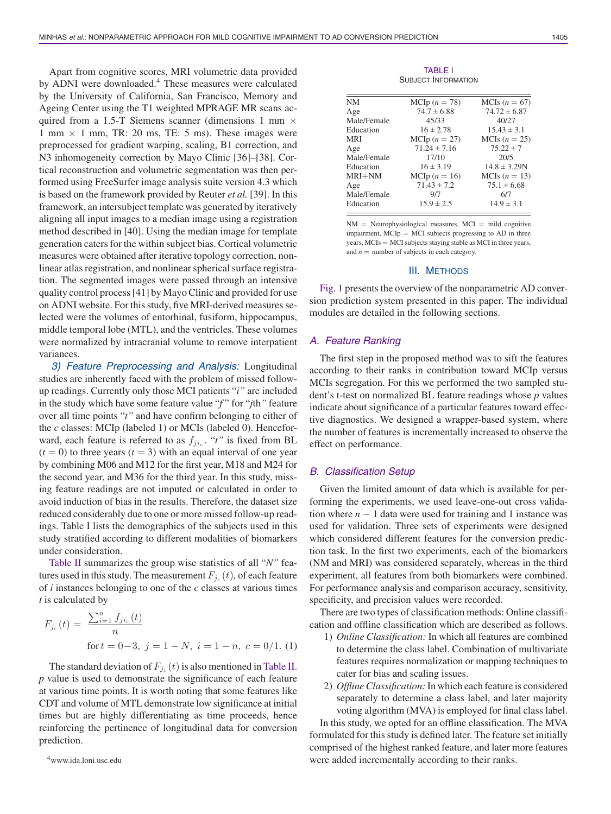Apart from cognitive scores, MRI volumetric data provided by ADNI were downloaded.4 These measures were calculated by the University of California, San Francisco, Memory and Ageing Center using the T1 weighted MPRAGE MR scans acquired from a 1.5-T Siemens scanner (dimensions 1 mm  $\times$ 1 mm  $\times$  1 mm, TR: 20 ms, TE: 5 ms). These images were preprocessed for gradient warping, scaling, B1 correction, and N3 inhomogeneity correction by Mayo Clinic [36]–[38]. Cortical reconstruction and volumetric segmentation was then performed using FreeSurfer image analysis suite version 4.3 which is based on the framework provided by Reuter *et al.* [39]. In this framework, an intersubject template was generated by iteratively aligning all input images to a median image using a registration method described in [40]. Using the median image for template generation caters for the within subject bias. Cortical volumetric measures were obtained after iterative topology correction, nonlinear atlas registration, and nonlinear spherical surface registration. The segmented images were passed through an intensive quality control process [41] by Mayo Clinic and provided for use on ADNI website. For this study, five MRI-derived measures selected were the volumes of entorhinal, fusiform, hippocampus, middle temporal lobe (MTL), and the ventricles. These volumes were normalized by intracranial volume to remove interpatient variances.

*3) Feature Preprocessing and Analysis:* Longitudinal studies are inherently faced with the problem of missed followup readings. Currently only those MCI patients "*i"* are included in the study which have some feature value "*f* " for "*j*th*"* feature over all time points "*t"* and have confirm belonging to either of the *c* classes: MCIp (labeled 1) or MCIs (labeled 0). Henceforward, each feature is referred to as  $f_{ji_c}$ . "*t*" is fixed from BL  $(t = 0)$  to three years  $(t = 3)$  with an equal interval of one year by combining M06 and M12 for the first year, M18 and M24 for the second year, and M36 for the third year. In this study, missing feature readings are not imputed or calculated in order to avoid induction of bias in the results. Therefore, the dataset size reduced considerably due to one or more missed follow-up readings. Table I lists the demographics of the subjects used in this study stratified according to different modalities of biomarkers under consideration.

Table II summarizes the group wise statistics of all "*N"* features used in this study. The measurement  $F_{j_c}(t)$ , of each feature of *i* instances belonging to one of the *c* classes at various times *t* is calculated by

$$
F_{j_c}(t) = \frac{\sum_{i=1}^n f_{ji_c}(t)}{n}
$$
  
for  $t = 0-3$ ,  $j = 1 - N$ ,  $i = 1 - n$ ,  $c = 0/1$ . (1)

The standard deviation of  $F_{j_c}(t)$  is also mentioned in Table II. *p* value is used to demonstrate the significance of each feature at various time points. It is worth noting that some features like CDT and volume of MTL demonstrate low significance at initial times but are highly differentiating as time proceeds, hence reinforcing the pertinence of longitudinal data for conversion prediction.

TABLE I SUBJECT INFORMATION

| NΜ          | MCIp $(n = 78)$  | MCIs $(n = 67)$  |
|-------------|------------------|------------------|
| Age         | $74.7 \pm 6.88$  | $74.72 \pm 6.87$ |
| Male/Female | 45/33            | 40/27            |
| Education   | $16 \pm 2.78$    | $15.43 \pm 3.1$  |
| MRI         | MCIp $(n = 27)$  | MCIs $(n = 25)$  |
| Age         | $71.24 \pm 7.16$ | $75.22 \pm 7$    |
| Male/Female | 17/10            | 20/5             |
| Education   | $16 \pm 3.19$    | $14.8 \pm 3.29N$ |
| MRI+NM      | MCIp $(n = 16)$  | MCIs $(n = 13)$  |
| Age         | $71.43 \pm 7.2$  | $75.1 \pm 6.68$  |
| Male/Female | 9/7              | 6/7              |
| Education   | $15.9 \pm 2.5$   | $14.9 \pm 3.1$   |
|             |                  |                  |

 $NM =$  Neurophysiological measures,  $MCI =$  mild cognitive impairment,  $MCIp = MCI$  subjects progressing to  $AD$  in three years, MCIs = MCI subjects staying stable as MCI in three years, and  $n =$  number of subjects in each category.

### III. METHODS

Fig. 1 presents the overview of the nonparametric AD conversion prediction system presented in this paper. The individual modules are detailed in the following sections.

## *A. Feature Ranking*

The first step in the proposed method was to sift the features according to their ranks in contribution toward MCIp versus MCIs segregation. For this we performed the two sampled student's t-test on normalized BL feature readings whose *p* values indicate about significance of a particular features toward effective diagnostics. We designed a wrapper-based system, where the number of features is incrementally increased to observe the effect on performance.

## *B. Classification Setup*

Given the limited amount of data which is available for performing the experiments, we used leave-one-out cross validation where  $n - 1$  data were used for training and 1 instance was used for validation. Three sets of experiments were designed which considered different features for the conversion prediction task. In the first two experiments, each of the biomarkers (NM and MRI) was considered separately, whereas in the third experiment, all features from both biomarkers were combined. For performance analysis and comparison accuracy, sensitivity, specificity, and precision values were recorded.

There are two types of classification methods: Online classification and offline classification which are described as follows.

- 1) *Online Classification:* In which all features are combined to determine the class label. Combination of multivariate features requires normalization or mapping techniques to cater for bias and scaling issues.
- 2) *Offline Classification:*In which each feature is considered separately to determine a class label, and later majority voting algorithm (MVA) is employed for final class label.

In this study, we opted for an offline classification. The MVA formulated for this study is defined later. The feature set initially comprised of the highest ranked feature, and later more features were added incrementally according to their ranks.

<sup>4</sup>www.ida.loni.usc.edu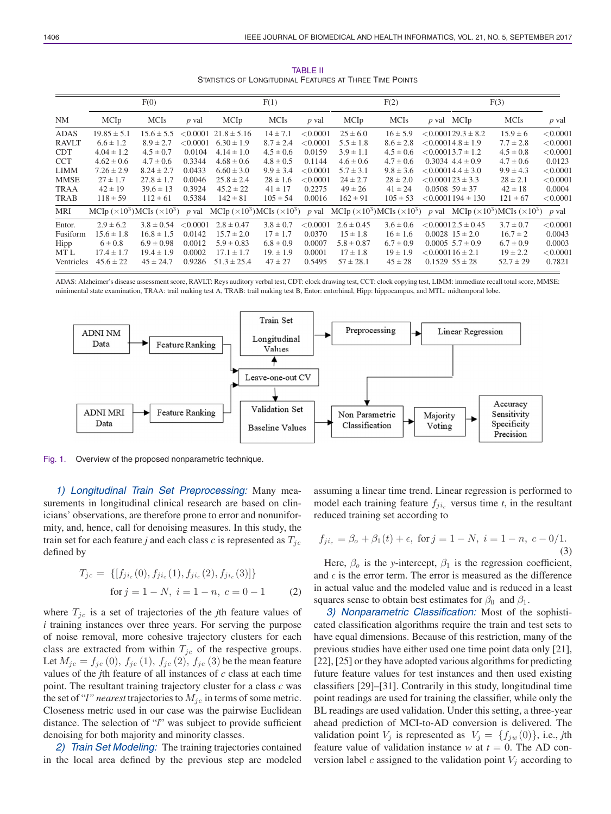|              | F(0)                                      |                |          | F(1)            |               |          | F(2)           |               | F(3)                                                                                                                                                                                                                             |               |          |
|--------------|-------------------------------------------|----------------|----------|-----------------|---------------|----------|----------------|---------------|----------------------------------------------------------------------------------------------------------------------------------------------------------------------------------------------------------------------------------|---------------|----------|
| NM           | MCIp                                      | <b>MCIs</b>    | p val    | MCIp            | <b>MCIs</b>   | p val    | MCIp           | <b>MCIs</b>   | $p$ val MCIp                                                                                                                                                                                                                     | <b>MCIs</b>   | p val    |
| ADAS         | $19.85 \pm 5.1$                           | $15.6 \pm 5.5$ | < 0.0001 | $21.8 \pm 5.16$ | $14 \pm 7.1$  | < 0.0001 | $25 \pm 6.0$   | $16 \pm 5.9$  | $< 0.000129.3 \pm 8.2$                                                                                                                                                                                                           | $15.9 \pm 6$  | < 0.0001 |
| <b>RAVLT</b> | $6.6 \pm 1.2$                             | $8.9 \pm 2.7$  | < 0.0001 | $6.30 \pm 1.9$  | $8.7 \pm 2.4$ | < 0.0001 | $5.5 \pm 1.8$  | $8.6 \pm 2.8$ | $< 0.00014.8 \pm 1.9$                                                                                                                                                                                                            | $7.7 \pm 2.8$ | < 0.0001 |
| <b>CDT</b>   | $4.04 \pm 1.2$                            | $4.5 \pm 0.7$  | 0.0104   | $4.14 \pm 1.0$  | $4.5 \pm 0.6$ | 0.0159   | $3.9 \pm 1.1$  | $4.5 \pm 0.6$ | $< 0.00013.7 \pm 1.2$                                                                                                                                                                                                            | $4.5 \pm 0.8$ | < 0.0001 |
| <b>CCT</b>   | $4.62 \pm 0.6$                            | $4.7 \pm 0.6$  | 0.3344   | $4.68 \pm 0.6$  | $4.8 \pm 0.5$ | 0.1144   | $4.6 \pm 0.6$  | $4.7 \pm 0.6$ | $0.3034$ 4.4 $\pm$ 0.9                                                                                                                                                                                                           | $4.7 \pm 0.6$ | 0.0123   |
| <b>LIMM</b>  | $7.26 \pm 2.9$                            | $8.24 \pm 2.7$ | 0.0433   | $6.60 \pm 3.0$  | $9.9 \pm 3.4$ | < 0.0001 | $5.7 \pm 3.1$  | $9.8 \pm 3.6$ | $< 0.00014.4 \pm 3.0$                                                                                                                                                                                                            | $9.9 \pm 4.3$ | < 0.0001 |
| MMSE         | $27 \pm 1.7$                              | $27.8 \pm 1.7$ | 0.0046   | $25.8 \pm 2.4$  | $28 \pm 1.6$  | < 0.0001 | $24 \pm 2.7$   | $28 \pm 2.0$  | $< 0.000123 \pm 3.3$                                                                                                                                                                                                             | $28 \pm 2.1$  | < 0.0001 |
| <b>TRAA</b>  | $42 \pm 19$                               | $39.6 \pm 13$  | 0.3924   | $45.2 \pm 22$   | $41 \pm 17$   | 0.2275   | $49 \pm 26$    | $41 \pm 24$   | $0.0508$ 59 ± 37                                                                                                                                                                                                                 | $42 \pm 18$   | 0.0004   |
| TRAB         | $118 \pm 59$                              | $112 \pm 61$   | 0.5384   | $142 \pm 81$    | $105 \pm 54$  | 0.0016   | $162 \pm 91$   | $105 \pm 53$  | $< 0.0001194 \pm 130$                                                                                                                                                                                                            | $121 \pm 67$  | < 0.0001 |
| MRI          | MCIp $(\times 10^3)$ MCIs $(\times 10^3)$ |                |          |                 |               |          |                |               | p val MCIp ( $\times$ 10 <sup>3</sup> )MCIs ( $\times$ 10 <sup>3</sup> ) p val MCIp ( $\times$ 10 <sup>3</sup> )MCIs ( $\times$ 10 <sup>3</sup> ) p val MCIp ( $\times$ 10 <sup>3</sup> )MCIs ( $\times$ 10 <sup>3</sup> ) p val |               |          |
| Entor.       | $2.9 \pm 6.2$                             | $3.8 \pm 0.54$ | < 0.0001 | $2.8 \pm 0.47$  | $3.8 \pm 0.7$ | < 0.0001 | $2.6 \pm 0.45$ | $3.6 \pm 0.6$ | $< 0.00012.5 \pm 0.45$                                                                                                                                                                                                           | $3.7 \pm 0.7$ | < 0.0001 |
| Fusiform     | $15.6 \pm 1.8$                            | $16.8 \pm 1.5$ | 0.0142   | $15.7 \pm 2.0$  | $17 \pm 1.7$  | 0.0370   | $15 \pm 1.8$   | $16 \pm 1.6$  | $0.0028$ 15 $\pm$ 2.0                                                                                                                                                                                                            | $16.7 \pm 2$  | 0.0043   |
| Hipp         | $6 \pm 0.8$                               | $6.9 \pm 0.98$ | 0.0012   | $5.9 \pm 0.83$  | $6.8 \pm 0.9$ | 0.0007   | $5.8 \pm 0.87$ | $6.7 \pm 0.9$ | $0.0005$ 5.7 $\pm$ 0.9                                                                                                                                                                                                           | $6.7 \pm 0.9$ | 0.0003   |
| MT L         | $17.4 \pm 1.7$                            | $19.4 \pm 1.9$ | 0.0002   | $17.1 \pm 1.7$  | $19. \pm 1.9$ | 0.0001   | $17 \pm 1.8$   | $19 \pm 1.9$  | $< 0.000116 \pm 2.1$                                                                                                                                                                                                             | $19 \pm 2.2$  | < 0.0001 |
| Ventricles   | $45.6 \pm 22$                             | $45 \pm 24.7$  | 0.9286   | $51.3 \pm 25.4$ | $47 \pm 27$   | 0.5495   | $57 \pm 28.1$  | $45 \pm 28$   | $0.1529\ 55 \pm 28$                                                                                                                                                                                                              | $52.7 \pm 29$ | 0.7821   |

TABLE II STATISTICS OF LONGITUDINAL FEATURES AT THREE TIME POINTS

ADAS: Alzheimer's disease assessment score, RAVLT: Reys auditory verbal test, CDT: clock drawing test, CCT: clock copying test, LIMM: immediate recall total score, MMSE: minimental state examination, TRAA: trail making test A, TRAB: trail making test B, Entor: entorhinal, Hipp: hippocampus, and MTL: midtemporal lobe.



Fig. 1. Overview of the proposed nonparametric technique.

*1) Longitudinal Train Set Preprocessing:* Many measurements in longitudinal clinical research are based on clinicians' observations, are therefore prone to error and nonuniformity, and, hence, call for denoising measures. In this study, the train set for each feature *j* and each class *c* is represented as  $T_{jc}$ defined by

$$
T_{jc} = \{ [f_{ji_c}(0), f_{ji_c}(1), f_{ji_c}(2), f_{ji_c}(3)] \}
$$
  
for  $j = 1 - N$ ,  $i = 1 - n$ ,  $c = 0 - 1$  (2)

where  $T_{jc}$  is a set of trajectories of the *j*th feature values of *i* training instances over three years. For serving the purpose of noise removal, more cohesive trajectory clusters for each class are extracted from within  $T_{jc}$  of the respective groups. Let  $M_{jc} = f_{jc} (0), f_{jc} (1), f_{jc} (2), f_{jc} (3)$  be the mean feature values of the *j*th feature of all instances of *c* class at each time point. The resultant training trajectory cluster for a class *c* was the set of "*l" nearest* trajectories to  $M_{ic}$  in terms of some metric. Closeness metric used in our case was the pairwise Euclidean distance. The selection of "*l*" was subject to provide sufficient denoising for both majority and minority classes.

*2) Train Set Modeling:* The training trajectories contained in the local area defined by the previous step are modeled assuming a linear time trend. Linear regression is performed to model each training feature  $f_{ii}$  versus time *t*, in the resultant reduced training set according to

$$
f_{ji_c} = \beta_o + \beta_1(t) + \epsilon, \text{ for } j = 1 - N, \ i = 1 - n, \ c - 0/1.
$$
\n(3)

Here,  $\beta_0$  is the *y*-intercept,  $\beta_1$  is the regression coefficient, and  $\epsilon$  is the error term. The error is measured as the difference in actual value and the modeled value and is reduced in a least squares sense to obtain best estimates for  $\beta_0$  and  $\beta_1$ .

*3) Nonparametric Classification:* Most of the sophisticated classification algorithms require the train and test sets to have equal dimensions. Because of this restriction, many of the previous studies have either used one time point data only [21], [22], [25] or they have adopted various algorithms for predicting future feature values for test instances and then used existing classifiers [29]–[31]. Contrarily in this study, longitudinal time point readings are used for training the classifier, while only the BL readings are used validation. Under this setting, a three-year ahead prediction of MCI-to-AD conversion is delivered. The validation point  $V_j$  is represented as  $V_j = \{f_{jw}(0)\}\,$ , i.e., *j*th feature value of validation instance  $w$  at  $t = 0$ . The AD conversion label c assigned to the validation point  $V_i$  according to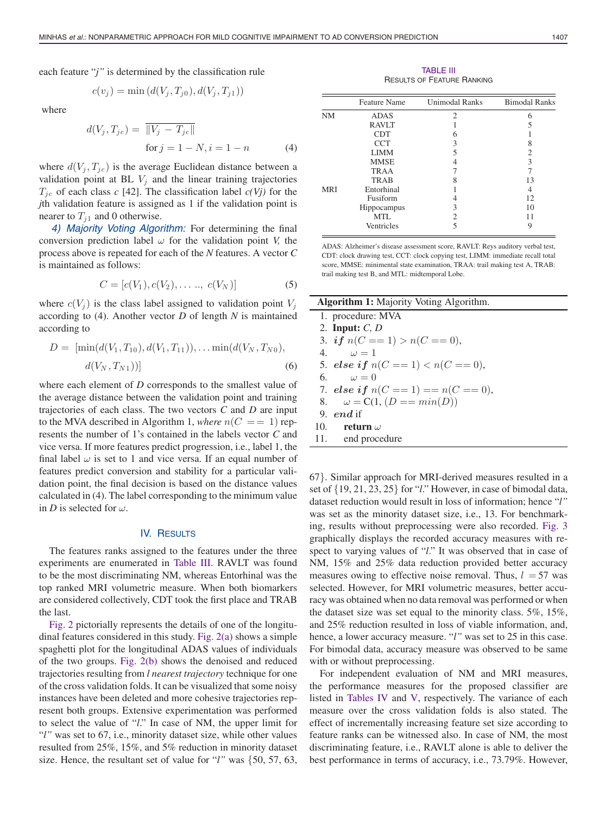each feature "*j"* is determined by the classification rule

$$
c(v_j) = \min (d(V_j, T_{j0}), d(V_j, T_{j1}))
$$

where

$$
d(V_j, T_{jc}) = \frac{\|V_j - T_{jc}\|}{\text{for } j = 1 - N, i = 1 - n}
$$
 (4)

where  $d(V_i, T_{ic})$  is the average Euclidean distance between a validation point at BL  $V_j$  and the linear training trajectories  $T_{jc}$  of each class *c* [42]. The classification label  $c(Vj)$  for the *j*th validation feature is assigned as 1 if the validation point is nearer to  $T_{i1}$  and 0 otherwise.

*4) Majority Voting Algorithm:* For determining the final conversion prediction label  $\omega$  for the validation point *V*, the process above is repeated for each of the *N* features. A vector *C* is maintained as follows:

$$
C = [c(V_1), c(V_2), \dots, c(V_N)]
$$
 (5)

where  $c(V_i)$  is the class label assigned to validation point  $V_i$ according to (4). Another vector *D* of length *N* is maintained according to

$$
D = [\min(d(V_1, T_{10}), d(V_1, T_{11})), \dots \min(d(V_N, T_{N0}), d(V_N, T_{N1}))]
$$
\n(6)

where each element of *D* corresponds to the smallest value of the average distance between the validation point and training trajectories of each class. The two vectors *C* and *D* are input to the MVA described in Algorithm 1, where  $n(C == 1)$  represents the number of 1's contained in the labels vector *C* and vice versa. If more features predict progression, i.e., label 1, the final label  $\omega$  is set to 1 and vice versa. If an equal number of features predict conversion and stability for a particular validation point, the final decision is based on the distance values calculated in (4). The label corresponding to the minimum value in *D* is selected for  $\omega$ .

#### IV. RESULTS

The features ranks assigned to the features under the three experiments are enumerated in Table III. RAVLT was found to be the most discriminating NM, whereas Entorhinal was the top ranked MRI volumetric measure. When both biomarkers are considered collectively, CDT took the first place and TRAB the last.

Fig. 2 pictorially represents the details of one of the longitudinal features considered in this study. Fig. 2(a) shows a simple spaghetti plot for the longitudinal ADAS values of individuals of the two groups. Fig. 2(b) shows the denoised and reduced trajectories resulting from *l nearest trajectory* technique for one of the cross validation folds. It can be visualized that some noisy instances have been deleted and more cohesive trajectories represent both groups. Extensive experimentation was performed to select the value of "*l*." In case of NM, the upper limit for "*l"* was set to 67, i.e., minority dataset size, while other values resulted from 25%, 15%, and 5% reduction in minority dataset size. Hence, the resultant set of value for "*l"* was {50, 57, 63,

TABLE III RESULTS OF FEATURE RANKING

|            | <b>Feature Name</b> | <b>Unimodal Ranks</b> | <b>Bimodal Ranks</b> |
|------------|---------------------|-----------------------|----------------------|
| <b>NM</b>  | <b>ADAS</b>         | $\mathfrak{D}$        | 6                    |
|            | <b>RAVLT</b>        |                       |                      |
|            | <b>CDT</b>          | h                     |                      |
|            | <b>CCT</b>          | 3                     | 8                    |
|            | <b>LIMM</b>         | 5                     | 2                    |
|            | <b>MMSE</b>         |                       | 3                    |
|            | TRAA                |                       |                      |
|            | <b>TRAB</b>         |                       | 13                   |
| <b>MRI</b> | Entorhinal          |                       |                      |
|            | Fusiform            |                       | 12.                  |
|            | Hippocampus         | 3                     | 10                   |
|            | MTL                 |                       |                      |
|            | Ventricles          |                       | y,                   |
|            |                     |                       |                      |

ADAS: Alzheimer's disease assessment score, RAVLT: Reys auditory verbal test, CDT: clock drawing test, CCT: clock copying test, LIMM: immediate recall total score, MMSE: minimental state examination, TRAA: trail making test A, TRAB: trail making test B, and MTL: midtemporal Lobe.

| <b>Algorithm 1:</b> Majority Voting Algorithm. |
|------------------------------------------------|
| 1. procedure: MVA                              |
| 2. Input: $C, D$                               |
| 3. if $n(C == 1) > n(C == 0)$ ,                |
| $\omega = 1$<br>4.                             |
| 5. else if $n(C == 1) < n(C == 0)$ ,           |
| 6. $\omega = 0$                                |
| 7. else if $n(C == 1) == n(C == 0)$ ,          |
| 8. $\omega = C(1, (D == min(D)))$              |
| 9. $end$ if                                    |
| 10. return $\omega$                            |
| 11. end procedure                              |

67}. Similar approach for MRI-derived measures resulted in a set of {19, 21, 23, 25} for "*l*." However, in case of bimodal data, dataset reduction would result in loss of information; hence "*l"* was set as the minority dataset size, i.e., 13. For benchmarking, results without preprocessing were also recorded. Fig. 3 graphically displays the recorded accuracy measures with respect to varying values of "*l*." It was observed that in case of NM, 15% and 25% data reduction provided better accuracy measures owing to effective noise removal. Thus,  $l = 57$  was selected. However, for MRI volumetric measures, better accuracy was obtained when no data removal was performed or when the dataset size was set equal to the minority class. 5%, 15%, and 25% reduction resulted in loss of viable information, and, hence, a lower accuracy measure. "*l"* was set to 25 in this case. For bimodal data, accuracy measure was observed to be same with or without preprocessing.

For independent evaluation of NM and MRI measures, the performance measures for the proposed classifier are listed in Tables IV and V, respectively. The variance of each measure over the cross validation folds is also stated. The effect of incrementally increasing feature set size according to feature ranks can be witnessed also. In case of NM, the most discriminating feature, i.e., RAVLT alone is able to deliver the best performance in terms of accuracy, i.e., 73.79%. However,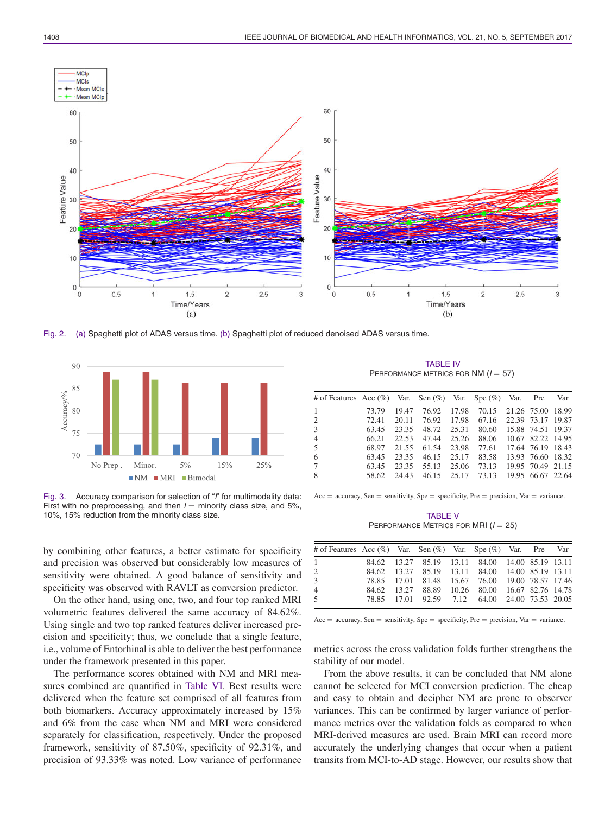

Fig. 2. (a) Spaghetti plot of ADAS versus time. (b) Spaghetti plot of reduced denoised ADAS versus time.



Fig. 3. Accuracy comparison for selection of "*l*" for multimodality data: First with no preprocessing, and then  $l =$  minority class size, and 5%, 10%, 15% reduction from the minority class size.

by combining other features, a better estimate for specificity and precision was observed but considerably low measures of sensitivity were obtained. A good balance of sensitivity and specificity was observed with RAVLT as conversion predictor.

On the other hand, using one, two, and four top ranked MRI volumetric features delivered the same accuracy of 84.62%. Using single and two top ranked features deliver increased precision and specificity; thus, we conclude that a single feature, i.e., volume of Entorhinal is able to deliver the best performance under the framework presented in this paper.

The performance scores obtained with NM and MRI measures combined are quantified in Table VI. Best results were delivered when the feature set comprised of all features from both biomarkers. Accuracy approximately increased by 15% and 6% from the case when NM and MRI were considered separately for classification, respectively. Under the proposed framework, sensitivity of 87.50%, specificity of 92.31%, and precision of 93.33% was noted. Low variance of performance

TABLE IV PERFORMANCE METRICS FOR NM ( $l = 57$ )

| # of Features Acc (%) Var. Sen (%) Var. Spe (%) Var. Pre |       |       |             |       |                         |                   | Var |
|----------------------------------------------------------|-------|-------|-------------|-------|-------------------------|-------------------|-----|
| 1                                                        | 73.79 | 19.47 | 76.92       | 17.98 | 70.15 21.26 75.00 18.99 |                   |     |
| 2                                                        | 72.41 | 20.11 | 76.92       | 17.98 | 67.16                   | 22.39 73.17 19.87 |     |
| 3                                                        | 63.45 | 23.35 | 48.72       | 25.31 | 80.60                   | 15.88 74.51 19.37 |     |
| 4                                                        | 66.21 | 22.53 | 47.44       | 25.26 | 88.06 10.67 82.22 14.95 |                   |     |
| 5                                                        | 68.97 | 21.55 | 61.54       | 23.98 | 77.61 17.64 76.19 18.43 |                   |     |
| 6                                                        | 63.45 | 23.35 | 46.15       | 25.17 | 83.58                   | 13.93 76.60 18.32 |     |
| 7                                                        | 63.45 | 23.35 | 55.13       | 25.06 | 73.13                   | 19.95 70.49 21.15 |     |
| 8                                                        | 58.62 | 24.43 | 46.15 25.17 |       | 73.13                   | 19.95 66.67 22.64 |     |
|                                                          |       |       |             |       |                         |                   |     |

 $Acc = accuracy$ ,  $Sen = sensitivity$ ,  $Spe = specificity$ ,  $Pre = precision$ ,  $Var = variance$ .

TABLE V PERFORMANCE METRICS FOR MRI ( $l = 25$ )

| # of Features Acc (%) Var. Sen (%) Var. Spe (%) Var. Pre Var |  |                                                 |  |  |  |
|--------------------------------------------------------------|--|-------------------------------------------------|--|--|--|
| $\overline{1}$                                               |  | 84.62 13.27 85.19 13.11 84.00 14.00 85.19 13.11 |  |  |  |
| 2                                                            |  | 84.62 13.27 85.19 13.11 84.00 14.00 85.19 13.11 |  |  |  |
| 3                                                            |  | 78.85 17.01 81.48 15.67 76.00 19.00 78.57 17.46 |  |  |  |
| $\overline{4}$                                               |  | 84.62 13.27 88.89 10.26 80.00 16.67 82.76 14.78 |  |  |  |
| -5                                                           |  | 78.85 17.01 92.59 7.12 64.00 24.00 73.53 20.05  |  |  |  |

 $Acc = accuracy$ ,  $Sen = sensitivity$ ,  $Spe = specificity$ ,  $Pre = precision$ ,  $Var = variance$ .

metrics across the cross validation folds further strengthens the stability of our model.

From the above results, it can be concluded that NM alone cannot be selected for MCI conversion prediction. The cheap and easy to obtain and decipher NM are prone to observer variances. This can be confirmed by larger variance of performance metrics over the validation folds as compared to when MRI-derived measures are used. Brain MRI can record more accurately the underlying changes that occur when a patient transits from MCI-to-AD stage. However, our results show that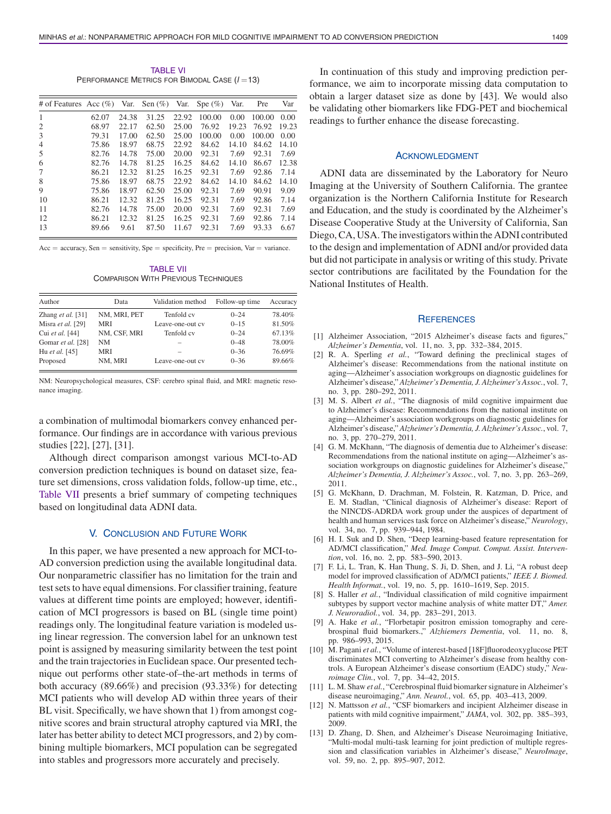TABLE VI PERFORMANCE METRICS FOR BIMODAL CASE (*l* =13)

| # of Features Acc $(\% )$ |       |       | Var. Sen $(\% )$ | Var.  | Spe $(\%)$ | Var.  | Pre    | Var   |
|---------------------------|-------|-------|------------------|-------|------------|-------|--------|-------|
| 1                         | 62.07 | 24.38 | 31.25            | 22.92 | 100.00     | 0.00  | 100.00 | 0.00  |
| 2                         | 68.97 | 22.17 | 62.50            | 25.00 | 76.92      | 19.23 | 76.92  | 19.23 |
| 3                         | 79.31 | 17.00 | 62.50            | 25.00 | 100.00     | 0.00  | 100.00 | 0.00  |
| $\overline{4}$            | 75.86 | 18.97 | 68.75            | 22.92 | 84.62      | 14.10 | 84.62  | 14.10 |
| 5                         | 82.76 | 14.78 | 75.00            | 20.00 | 92.31      | 7.69  | 92.31  | 7.69  |
| 6                         | 82.76 | 14.78 | 81.25            | 16.25 | 84.62      | 14.10 | 86.67  | 12.38 |
| 7                         | 86.21 | 12.32 | 81.25            | 16.25 | 92.31      | 7.69  | 92.86  | 7.14  |
| 8                         | 75.86 | 18.97 | 68.75            | 22.92 | 84.62      | 14.10 | 84.62  | 14.10 |
| 9                         | 75.86 | 18.97 | 62.50            | 25.00 | 92.31      | 7.69  | 90.91  | 9.09  |
| 10                        | 86.21 | 12.32 | 81.25            | 16.25 | 92.31      | 7.69  | 92.86  | 7.14  |
| 11                        | 82.76 | 14.78 | 75.00            | 20.00 | 92.31      | 7.69  | 92.31  | 7.69  |
| 12                        | 86.21 | 12.32 | 81.25            | 16.25 | 92.31      | 7.69  | 92.86  | 7.14  |
| 13                        | 89.66 | 9.61  | 87.50            | 11.67 | 92.31      | 7.69  | 93.33  | 6.67  |

 $Acc = accuracy$ ,  $Sen = sensitivity$ ,  $Spe = specificity$ ,  $Pre = precision$ ,  $Var = variance$ .

TABLE VII COMPARISON WITH PREVIOUS TECHNIQUES

| Author              | Data         | Validation method | Follow-up time | Accuracy |
|---------------------|--------------|-------------------|----------------|----------|
| Zhang et al. $[31]$ | NM. MRI. PET | Tenfold cv        | $0 - 24$       | 78.40%   |
| Misra et al. [29]   | <b>MRI</b>   | Leave-one-out cv  | $0 - 1.5$      | 81.50%   |
| Cui et al. [44]     | NM. CSF. MRI | Tenfold cv        | $0 - 24$       | 67.13%   |
| Gomar et al. [28]   | <b>NM</b>    |                   | $0 - 48$       | 78.00%   |
| Hu et al. [45]      | <b>MRI</b>   |                   | $0 - 36$       | 76.69%   |
| Proposed            | NM, MRI      | Leave-one-out cv  | $0 - 36$       | 89.66%   |

NM: Neuropsychological measures, CSF: cerebro spinal fluid, and MRI: magnetic resonance imaging.

a combination of multimodal biomarkers convey enhanced performance. Our findings are in accordance with various previous studies [22], [27], [31].

Although direct comparison amongst various MCI-to-AD conversion prediction techniques is bound on dataset size, feature set dimensions, cross validation folds, follow-up time, etc., Table VII presents a brief summary of competing techniques based on longitudinal data ADNI data.

# V. CONCLUSION AND FUTURE WORK

In this paper, we have presented a new approach for MCI-to-AD conversion prediction using the available longitudinal data. Our nonparametric classifier has no limitation for the train and test sets to have equal dimensions. For classifier training, feature values at different time points are employed; however, identification of MCI progressors is based on BL (single time point) readings only. The longitudinal feature variation is modeled using linear regression. The conversion label for an unknown test point is assigned by measuring similarity between the test point and the train trajectories in Euclidean space. Our presented technique out performs other state-of–the-art methods in terms of both accuracy (89.66%) and precision (93.33%) for detecting MCI patients who will develop AD within three years of their BL visit. Specifically, we have shown that 1) from amongst cognitive scores and brain structural atrophy captured via MRI, the later has better ability to detect MCI progressors, and 2) by combining multiple biomarkers, MCI population can be segregated into stables and progressors more accurately and precisely.

In continuation of this study and improving prediction performance, we aim to incorporate missing data computation to obtain a larger dataset size as done by [43]. We would also be validating other biomarkers like FDG-PET and biochemical readings to further enhance the disease forecasting.

#### ACKNOWLEDGMENT

ADNI data are disseminated by the Laboratory for Neuro Imaging at the University of Southern California. The grantee organization is the Northern California Institute for Research and Education, and the study is coordinated by the Alzheimer's Disease Cooperative Study at the University of California, San Diego, CA, USA. The investigators within the ADNI contributed to the design and implementation of ADNI and/or provided data but did not participate in analysis or writing of this study. Private sector contributions are facilitated by the Foundation for the National Institutes of Health.

#### **REFERENCES**

- [1] Alzheimer Association, "2015 Alzheimer's disease facts and figures," *Alzheimer's Dementia*, vol. 11, no. 3, pp. 332–384, 2015.
- [2] R. A. Sperling *et al.*, "Toward defining the preclinical stages of Alzheimer's disease: Recommendations from the national institute on aging—Alzheimer's association workgroups on diagnostic guidelines for Alzheimer's disease," *Alzheimer's Dementia, J. Alzheimer's Assoc.*, vol. 7, no. 3, pp. 280–292, 2011.
- [3] M. S. Albert *et al.*, "The diagnosis of mild cognitive impairment due to Alzheimer's disease: Recommendations from the national institute on aging—Alzheimer's association workgroups on diagnostic guidelines for Alzheimer's disease," *Alzheimer's Dementia, J. Alzheimer's Assoc.*, vol. 7, no. 3, pp. 270–279, 2011.
- [4] G. M. McKhann, "The diagnosis of dementia due to Alzheimer's disease: Recommendations from the national institute on aging—Alzheimer's association workgroups on diagnostic guidelines for Alzheimer's disease," *Alzheimer's Dementia, J. Alzheimer's Assoc.*, vol. 7, no. 3, pp. 263–269, 2011.
- [5] G. McKhann, D. Drachman, M. Folstein, R. Katzman, D. Price, and E. M. Stadlan, "Clinical diagnosis of Alzheimer's disease: Report of the NINCDS-ADRDA work group under the auspices of department of health and human services task force on Alzheimer's disease," *Neurology*, vol. 34, no. 7, pp. 939–944, 1984.
- [6] H. I. Suk and D. Shen, "Deep learning-based feature representation for AD/MCI classification," *Med. Image Comput. Comput. Assist. Intervention*, vol. 16, no. 2, pp. 583–590, 2013.
- [7] F. Li, L. Tran, K. Han Thung, S. Ji, D. Shen, and J. Li, "A robust deep model for improved classification of AD/MCI patients," *IEEE J. Biomed. Health Informat.*, vol. 19, no. 5, pp. 1610–1619, Sep. 2015.
- [8] S. Haller *et al.*, "Individual classification of mild cognitive impairment subtypes by support vector machine analysis of white matter DT," *Amer. J. Neuroradiol.*, vol. 34, pp. 283–291, 2013.
- [9] A. Hake *et al.*, "Florbetapir positron emission tomography and cerebrospinal fluid biomarkers.," *Alzhiemers Dementia*, vol. 11, no. 8, pp. 986–993, 2015.
- [10] M. Pagani *et al.*, "Volume of interest-based [18F]fluorodeoxyglucose PET discriminates MCI converting to Alzheimer's disease from healthy controls. A European Alzheimer's disease consortium (EADC) study," *Neuroimage Clin.*, vol. 7, pp. 34–42, 2015.
- [11] L. M. Shaw *et al.*, "Cerebrospinal fluid biomarker signature in Alzheimer's disease neuroimaging," *Ann. Neurol.*, vol. 65, pp. 403–413, 2009.
- [12] N. Mattsson et al., "CSF biomarkers and incipient Alzheimer disease in patients with mild cognitive impairment," *JAMA*, vol. 302, pp. 385–393, 2009.
- [13] D. Zhang, D. Shen, and Alzheimer's Disease Neuroimaging Initiative, "Multi-modal multi-task learning for joint prediction of multiple regression and classification variables in Alzheimer's disease," *NeuroImage*, vol. 59, no. 2, pp. 895–907, 2012.